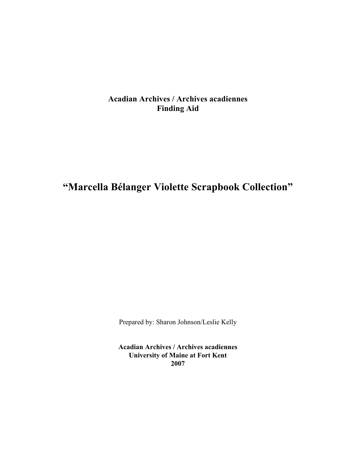## **Acadian Archives / Archives acadiennes Finding Aid**

## **"Marcella Bélanger Violette Scrapbook Collection"**

Prepared by: Sharon Johnson/Leslie Kelly

**Acadian Archives / Archives acadiennes University of Maine at Fort Kent 2007**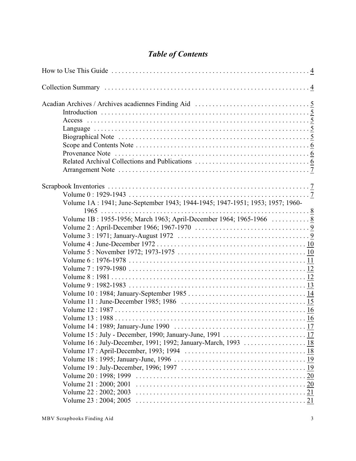## *Table of Contents*

| Volume 1A: 1941; June-September 1943; 1944-1945; 1947-1951; 1953; 1957; 1960- |  |
|-------------------------------------------------------------------------------|--|
|                                                                               |  |
| Volume 1B: 1955-1956; March 1963; April-December 1964; 1965-1966  8           |  |
|                                                                               |  |
|                                                                               |  |
|                                                                               |  |
|                                                                               |  |
|                                                                               |  |
|                                                                               |  |
|                                                                               |  |
|                                                                               |  |
|                                                                               |  |
|                                                                               |  |
|                                                                               |  |
|                                                                               |  |
|                                                                               |  |
|                                                                               |  |
|                                                                               |  |
|                                                                               |  |
|                                                                               |  |
|                                                                               |  |
|                                                                               |  |
| Volume 21:2000; 2001                                                          |  |
| Volume 22: 2002; 2003                                                         |  |
|                                                                               |  |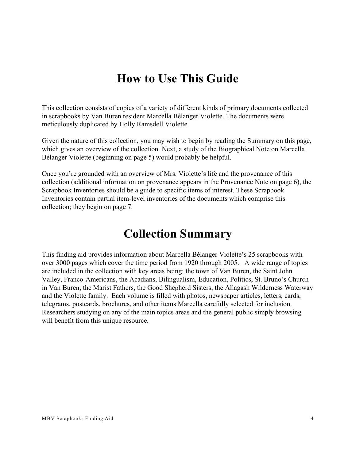# <span id="page-3-0"></span>**How to Use This Guide**

This collection consists of copies of a variety of different kinds of primary documents collected in scrapbooks by Van Buren resident Marcella Bélanger Violette. The documents were meticulously duplicated by Holly Ramsdell Violette.

Given the nature of this collection, you may wish to begin by reading the Summary on this page, which gives an overview of the collection. Next, a study of the Biographical Note on Marcella Bélanger Violette (beginning on page 5) would probably be helpful.

Once you're grounded with an overview of Mrs. Violette's life and the provenance of this collection (additional information on provenance appears in the Provenance Note on page 6), the Scrapbook Inventories should be a guide to specific items of interest. These Scrapbook Inventories contain partial item-level inventories of the documents which comprise this collection; they begin on page 7.

# <span id="page-3-1"></span>**Collection Summary**

This finding aid provides information about Marcella Bélanger Violette's 25 scrapbooks with over 3000 pages which cover the time period from 1920 through 2005. A wide range of topics are included in the collection with key areas being: the town of Van Buren, the Saint John Valley, Franco-Americans, the Acadians, Bilingualism, Education, Politics, St. Bruno's Church in Van Buren, the Marist Fathers, the Good Shepherd Sisters, the Allagash Wilderness Waterway and the Violette family. Each volume is filled with photos, newspaper articles, letters, cards, telegrams, postcards, brochures, and other items Marcella carefully selected for inclusion. Researchers studying on any of the main topics areas and the general public simply browsing will benefit from this unique resource.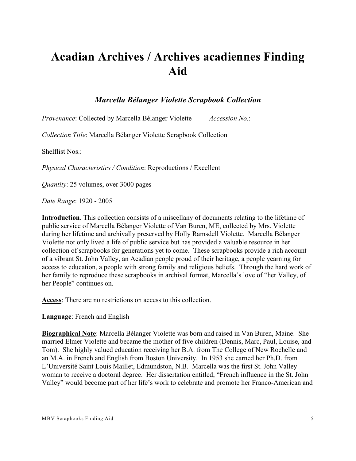# <span id="page-4-0"></span>**Acadian Archives / Archives acadiennes Finding Aid**

## *Marcella Bélanger Violette Scrapbook Collection*

*Provenance*: Collected by Marcella Bélanger Violette *Accession No.*:

*Collection Title*: Marcella Bélanger Violette Scrapbook Collection

Shelflist Nos.:

*Physical Characteristics / Condition*: Reproductions / Excellent

*Quantity*: 25 volumes, over 3000 pages

*Date Range*: 1920 - 2005

<span id="page-4-1"></span>**Introduction**. This collection consists of a miscellany of documents relating to the lifetime of public service of Marcella Bélanger Violette of Van Buren, ME, collected by Mrs. Violette during her lifetime and archivally preserved by Holly Ramsdell Violette. Marcella Bélanger Violette not only lived a life of public service but has provided a valuable resource in her collection of scrapbooks for generations yet to come. These scrapbooks provide a rich account of a vibrant St. John Valley, an Acadian people proud of their heritage, a people yearning for access to education, a people with strong family and religious beliefs. Through the hard work of her family to reproduce these scrapbooks in archival format, Marcella's love of "her Valley, of her People" continues on.

<span id="page-4-2"></span>**Access**: There are no restrictions on access to this collection.

<span id="page-4-3"></span>**Language**: French and English

<span id="page-4-4"></span>**Biographical Note**: Marcella Bélanger Violette was born and raised in Van Buren, Maine. She married Elmer Violette and became the mother of five children (Dennis, Marc, Paul, Louise, and Tom). She highly valued education receiving her B.A. from The College of New Rochelle and an M.A. in French and English from Boston University. In 1953 she earned her Ph.D. from L'Université Saint Louis Maillet, Edmundston, N.B. Marcella was the first St. John Valley woman to receive a doctoral degree. Her dissertation entitled, "French influence in the St. John Valley" would become part of her life's work to celebrate and promote her Franco-American and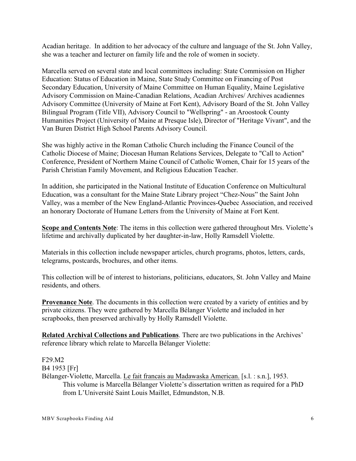Acadian heritage. In addition to her advocacy of the culture and language of the St. John Valley, she was a teacher and lecturer on family life and the role of women in society.

Marcella served on several state and local committees including: State Commission on Higher Education: Status of Education in Maine, State Study Committee on Financing of Post Secondary Education, University of Maine Committee on Human Equality, Maine Legislative Advisory Commission on Maine-Canadian Relations, Acadian Archives/ Archives acadiennes Advisory Committee (University of Maine at Fort Kent), Advisory Board of the St. John Valley Bilingual Program (Title VII), Advisory Council to "Wellspring" - an Aroostook County Humanities Project (University of Maine at Presque Isle), Director of "Heritage Vivant", and the Van Buren District High School Parents Advisory Council.

She was highly active in the Roman Catholic Church including the Finance Council of the Catholic Diocese of Maine; Diocesan Human Relations Services, Delegate to "Call to Action" Conference, President of Northern Maine Council of Catholic Women, Chair for 15 years of the Parish Christian Family Movement, and Religious Education Teacher.

In addition, she participated in the National Institute of Education Conference on Multicultural Education, was a consultant for the Maine State Library project "Chez-Nous" the Saint John Valley, was a member of the New England-Atlantic Provinces-Quebec Association, and received an honorary Doctorate of Humane Letters from the University of Maine at Fort Kent.

<span id="page-5-0"></span>**Scope and Contents Note:** The items in this collection were gathered throughout Mrs. Violette's lifetime and archivally duplicated by her daughter-in-law, Holly Ramsdell Violette.

Materials in this collection include newspaper articles, church programs, photos, letters, cards, telegrams, postcards, brochures, and other items.

This collection will be of interest to historians, politicians, educators, St. John Valley and Maine residents, and others.

<span id="page-5-1"></span>**Provenance Note**. The documents in this collection were created by a variety of entities and by private citizens. They were gathered by Marcella Bélanger Violette and included in her scrapbooks, then preserved archivally by Holly Ramsdell Violette.

<span id="page-5-2"></span>**Related Archival Collections and Publications**. There are two publications in the Archives' reference library which relate to Marcella Bélanger Violette:

F29.M2 B4 1953 [Fr] Bélanger-Violette, Marcella. Le fait francais au Madawaska American. [s.l. : s.n.], 1953. This volume is Marcella Bélanger Violette's dissertation written as required for a PhD from L'Université Saint Louis Maillet, Edmundston, N.B.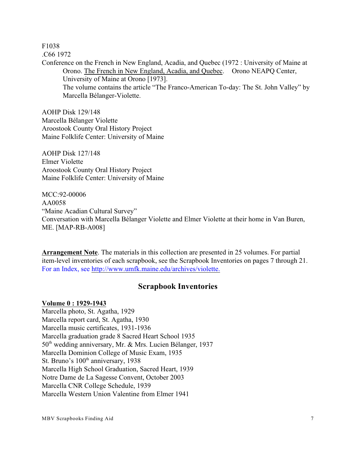F1038

.C66 1972

Conference on the French in New England, Acadia, and Quebec (1972 : University of Maine at Orono. The French in New England, Acadia, and Quebec. Orono NEAPQ Center, University of Maine at Orono [1973]. The volume contains the article "The Franco-American To-day: The St. John Valley" by Marcella Bélanger-Violette.

AOHP Disk 129/148 Marcella Bélanger Violette Aroostook County Oral History Project Maine Folklife Center: University of Maine

AOHP Disk 127/148 Elmer Violette Aroostook County Oral History Project Maine Folklife Center: University of Maine

MCC:92-00006 AA0058 "Maine Acadian Cultural Survey" Conversation with Marcella Bélanger Violette and Elmer Violette at their home in Van Buren, ME. [MAP-RB-A008]

<span id="page-6-0"></span>**Arrangement Note**. The materials in this collection are presented in 25 volumes. For partial item-level inventories of each scrapbook, see the Scrapbook Inventories on pages 7 through 21. For an Index, see http://www.umfk.maine.edu/archives/violette.

## <span id="page-6-1"></span>**Scrapbook Inventories**

## <span id="page-6-2"></span>**Volume 0 : 1929-1943**

Marcella photo, St. Agatha, 1929 Marcella report card, St. Agatha, 1930 Marcella music certificates, 1931-1936 Marcella graduation grade 8 Sacred Heart School 1935  $50<sup>th</sup>$  wedding anniversary, Mr. & Mrs. Lucien Bélanger, 1937 Marcella Dominion College of Music Exam, 1935 St. Bruno's  $100<sup>th</sup>$  anniversary, 1938 Marcella High School Graduation, Sacred Heart, 1939 Notre Dame de La Sagesse Convent, October 2003 Marcella CNR College Schedule, 1939 Marcella Western Union Valentine from Elmer 1941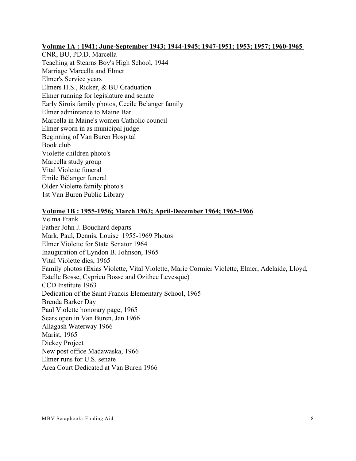## <span id="page-7-0"></span>**Volume 1A : 1941; June-September 1943; 1944-1945; 1947-1951; 1953; 1957; 1960-1965**

CNR, BU, PD.D. Marcella Teaching at Stearns Boy's High School, 1944 Marriage Marcella and Elmer Elmer's Service years Elmers H.S., Ricker, & BU Graduation Elmer running for legislature and senate Early Sirois family photos, Cecile Belanger family Elmer admintance to Maine Bar Marcella in Maine's women Catholic council Elmer sworn in as municipal judge Beginning of Van Buren Hospital Book club Violette children photo's Marcella study group Vital Violette funeral Emile Bélanger funeral Older Violette family photo's 1st Van Buren Public Library

## <span id="page-7-1"></span>**Volume 1B : 1955-1956; March 1963; April-December 1964; 1965-1966**

Velma Frank Father John J. Bouchard departs Mark, Paul, Dennis, Louise 1955-1969 Photos Elmer Violette for State Senator 1964 Inauguration of Lyndon B. Johnson, 1965 Vital Violette dies, 1965 Family photos (Exias Violette, Vital Violette, Marie Cormier Violette, Elmer, Adelaide, Lloyd, Estelle Bosse, Cyprieu Bosse and Ozithee Levesque) CCD Institute 1963 Dedication of the Saint Francis Elementary School, 1965 Brenda Barker Day Paul Violette honorary page, 1965 Sears open in Van Buren, Jan 1966 Allagash Waterway 1966 Marist, 1965 Dickey Project New post office Madawaska, 1966 Elmer runs for U.S. senate Area Court Dedicated at Van Buren 1966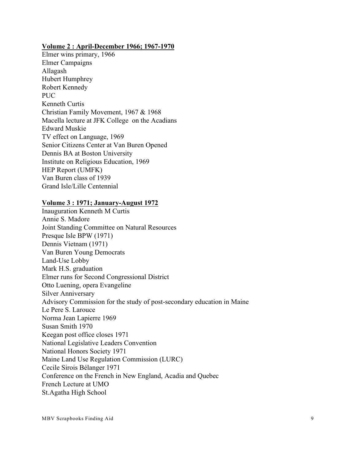#### <span id="page-8-0"></span>**Volume 2 : April-December 1966; 1967-1970**

Elmer wins primary, 1966 Elmer Campaigns Allagash Hubert Humphrey Robert Kennedy PUC. Kenneth Curtis Christian Family Movement, 1967 & 1968 Macella lecture at JFK College on the Acadians Edward Muskie TV effect on Language, 1969 Senior Citizens Center at Van Buren Opened Dennis BA at Boston University Institute on Religious Education, 1969 HEP Report (UMFK) Van Buren class of 1939 Grand Isle/Lille Centennial

## <span id="page-8-1"></span>**Volume 3 : 1971; January-August 1972**

Inauguration Kenneth M Curtis Annie S. Madore Joint Standing Committee on Natural Resources Presque Isle BPW (1971) Dennis Vietnam (1971) Van Buren Young Democrats Land-Use Lobby Mark H.S. graduation Elmer runs for Second Congressional District Otto Luening, opera Evangeline Silver Anniversary Advisory Commission for the study of post-secondary education in Maine Le Pere S. Larouce Norma Jean Lapierre 1969 Susan Smith 1970 Keegan post office closes 1971 National Legislative Leaders Convention National Honors Society 1971 Maine Land Use Regulation Commission (LURC) Cecile Sirois Bélanger 1971 Conference on the French in New England, Acadia and Quebec French Lecture at UMO St.Agatha High School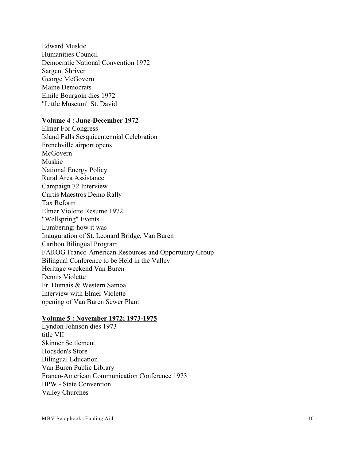Edward Muskie Humanities Council Democratic National Convention 1972 Sargent Shriver George McGovern Maine Democrats Emile Bourgoin dies 1972 "Little Museum" St. David

#### <span id="page-9-0"></span>**Volume 4 : June-December 1972**

Elmer For Congress Island Falls Sesquicentennial Celebration Frenchville airport opens McGovern Muskie National Energy Policy Rural Area Assistance Campaign 72 Interview Curtis Maestros Demo Rally Tax Reform Elmer Violette Resume 1972 "Wellspring" Events Lumbering: how it was Inauguration of St. Leonard Bridge, Van Buren Caribou Bilingual Program FAROG Franco-American Resources and Opportunity Group Bilingual Conference to be Held in the Valley Heritage weekend Van Buren Dennis Violette Fr. Dumais & Western Samoa Interview with Elmer Violette opening of Van Buren Sewer Plant

#### <span id="page-9-1"></span>**Volume 5 : November 1972; 1973-1975**

Lyndon Johnson dies 1973 title VII Skinner Settlement Hodsdon's Store Bilingual Education Van Buren Public Library Franco-American Communication Conference 1973 BPW - State Convention Valley Churches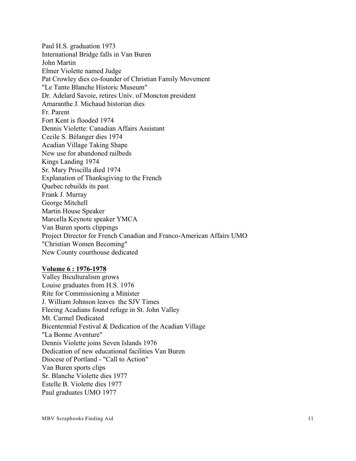Paul H.S. graduation 1973 International Bridge falls in Van Buren John Martin Elmer Violette named Judge Pat Crowley dies co-founder of Christian Family Movement "Le Tante Blanche Historic Museum" Dr. Adelard Savoie, retires Univ. of Moncton president Amaranthe J. Michaud historian dies Fr. Parent Fort Kent is flooded 1974 Dennis Violette: Canadian Affairs Assistant Cecile S. Bélanger dies 1974 Acadian Village Taking Shape New use for abandoned railbeds Kings Landing 1974 Sr. Mary Priscilla died 1974 Explanation of Thanksgiving to the French Quebec rebuilds its past Frank J. Murray George Mitchell Martin House Speaker Marcella Keynote speaker YMCA Van Buren sports clippings Project Director for French Canadian and Franco-American Affairs UMO "Christian Women Becoming" New County courthouse dedicated

#### <span id="page-10-0"></span>**Volume 6 : 1976-1978**

Valley Biculturalism grows Louise graduates from H.S. 1976 Rite for Commissioning a Minister J. William Johnson leaves the SJV Times Fleeing Acadians found refuge in St. John Valley Mt. Carmel Dedicated Bicentennial Festival & Dedication of the Acadian Village "La Bonne Aventure" Dennis Violette joins Seven Islands 1976 Dedication of new educational facilities Van Buren Diocese of Portland - "Call to Action" Van Buren sports clips Sr. Blanche Violette dies 1977 Estelle B. Violette dies 1977 Paul graduates UMO 1977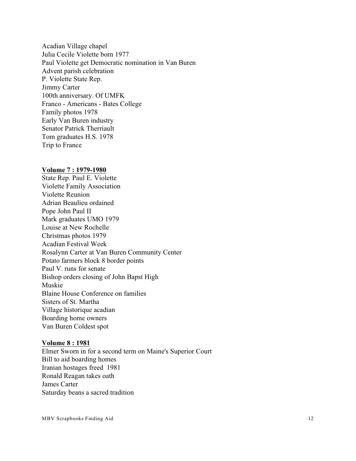Acadian Village chapel Julia Cecile Violette born 1977 Paul Violette get Democratic nomination in Van Buren Advent parish celebration P. Violette State Rep. Jimmy Carter 100th anniversary. Of UMFK Franco - Americans - Bates College Family photos 1978 Early Van Buren industry Senator Patrick Therriault Tom graduates H.S. 1978 Trip to France

### <span id="page-11-0"></span>**Volume 7 : 1979-1980**

State Rep. Paul E. Violette Violette Family Association Violette Reunion Adrian Beaulieu ordained Pope John Paul II Mark graduates UMO 1979 Louise at New Rochelle Christmas photos 1979 Acadian Festival Week Rosalynn Carter at Van Buren Community Center Potato farmers block 8 border points Paul V. runs for senate Bishop orders closing of John Bapst High Muskie Blaine House Conference on families Sisters of St. Martha Village historique acadian Boarding home owners Van Buren Coldest spot

#### <span id="page-11-1"></span>**Volume 8 : 1981**

Elmer Sworn in for a second term on Maine's Superior Court Bill to aid boarding homes Iranian hostages freed 1981 Ronald Reagan takes oath James Carter Saturday beans a sacred tradition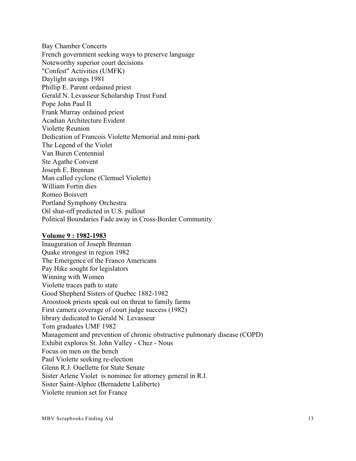Bay Chamber Concerts French government seeking ways to preserve language Noteworthy superior court decisions "Confest" Activities (UMFK) Daylight savings 1981 Phillip E. Parent ordained priest Gerald N. Levasseur Scholarship Trust Fund Pope John Paul II Frank Murray ordained priest Acadian Architecture Evident Violette Reunion Dedication of Francois Violette Memorial and mini-park The Legend of the Violet Van Buren Centennial Ste Agathe Convent Joseph E. Brennan Man called cyclone (Clemuel Violette) William Fortin dies Romeo Boisvert Portland Symphony Orchestra Oil shut-off predicted in U.S. pullout Political Boundaries Fade away in Cross-Border Community

#### <span id="page-12-0"></span>**Volume 9 : 1982-1983**

Inauguration of Joseph Brennan Quake strongest in region 1982 The Emergence of the Franco Americans Pay Hike sought for legislators Winning with Women Violette traces path to state Good Shepherd Sisters of Quebec 1882-1982 Aroostook priests speak out on threat to family farms First camera coverage of court judge success (1982) library dedicated to Gerald N. Levasseur Tom graduates UMF 1982 Management and prevention of chronic obstructive pulmonary disease (COPD) Exhibit explores St. John Valley - Chez - Nous Focus on men on the bench Paul Violette seeking re-election Glenn R.J. Ouellette for State Senate Sister Arlene Violet is nominee for attorney general in R.I. Sister Saint-Alphee (Bernadette Laliberte) Violette reunion set for France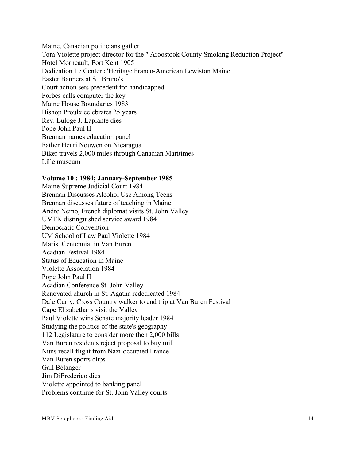Maine, Canadian politicians gather Tom Violette project director for the " Aroostook County Smoking Reduction Project" Hotel Morneault, Fort Kent 1905 Dedication Le Center d'Heritage Franco-American Lewiston Maine Easter Banners at St. Bruno's Court action sets precedent for handicapped Forbes calls computer the key Maine House Boundaries 1983 Bishop Proulx celebrates 25 years Rev. Euloge J. Laplante dies Pope John Paul II Brennan names education panel Father Henri Nouwen on Nicaragua Biker travels 2,000 miles through Canadian Maritimes Lille museum

#### <span id="page-13-0"></span>**Volume 10 : 1984; January-September 1985**

Maine Supreme Judicial Court 1984 Brennan Discusses Alcohol Use Among Teens Brennan discusses future of teaching in Maine Andre Nemo, French diplomat visits St. John Valley UMFK distinguished service award 1984 Democratic Convention UM School of Law Paul Violette 1984 Marist Centennial in Van Buren Acadian Festival 1984 Status of Education in Maine Violette Association 1984 Pope John Paul II Acadian Conference St. John Valley Renovated church in St. Agatha rededicated 1984 Dale Curry, Cross Country walker to end trip at Van Buren Festival Cape Elizabethans visit the Valley Paul Violette wins Senate majority leader 1984 Studying the politics of the state's geography 112 Legislature to consider more then 2,000 bills Van Buren residents reject proposal to buy mill Nuns recall flight from Nazi-occupied France Van Buren sports clips Gail Bélanger Jim DiFrederico dies Violette appointed to banking panel Problems continue for St. John Valley courts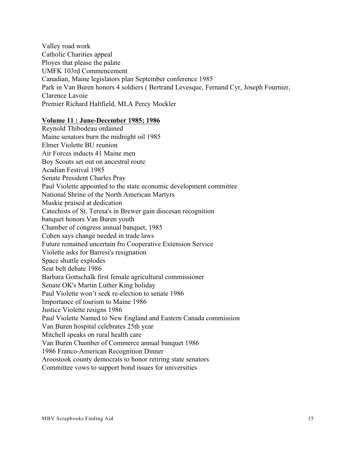Valley road work Catholic Charities appeal Ployes that please the palate UMFK 103rd Commencement Canadian, Maine legislators plan September conference 1985 Park in Van Buren honors 4 soldiers ( Bertrand Levesque, Fernand Cyr, Joseph Fournier, Clarence Lavoie Premier Richard Haltfield, MLA Percy Mockler

#### <span id="page-14-0"></span>**Volume 11 : June-December 1985; 1986**

Reynold Thibodeau ordained Maine senators burn the midnight oil 1985 Elmer Violette BU reunion Air Forces inducts 41 Maine men Boy Scouts set out on ancestral route Acadian Festival 1985 Senate President Charles Pray Paul Violette appointed to the state economic development committee National Shrine of the North American Martyrs Muskie praised at dedication Catechists of St. Teresa's in Brewer gain diocesan recognition banquet honors Van Buren youth Chamber of congress annual banquet, 1985 Cohen says change needed in trade laws Future remained uncertain fro Cooperative Extension Service Violette asks for Barresi's resignation Space shuttle explodes Seat belt debate 1986 Barbara Gottschalk first female agricultural commissioner Senate OK's Martin Luther King holiday Paul Violette won't seek re-election to senate 1986 Importance of tourism to Maine 1986 Justice Violette resigns 1986 Paul Violette Named to New England and Eastern Canada commission Van Buren hospital celebrates 25th year Mitchell speaks on rural health care Van Buren Chamber of Commerce annual banquet 1986 1986 Franco-American Recognition Dinner Aroostook county democrats to honor retiring state senators Committee vows to support bond issues for universities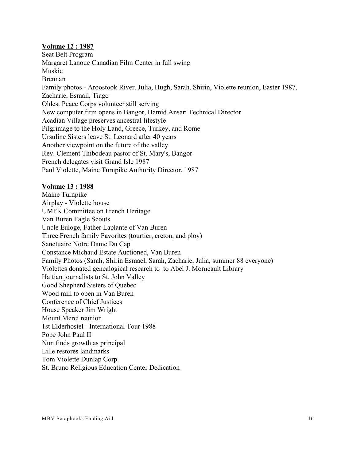## <span id="page-15-0"></span>**Volume 12 : 1987**

Seat Belt Program Margaret Lanoue Canadian Film Center in full swing Muskie Brennan Family photos - Aroostook River, Julia, Hugh, Sarah, Shirin, Violette reunion, Easter 1987, Zacharie, Esmail, Tiago Oldest Peace Corps volunteer still serving New computer firm opens in Bangor, Hamid Ansari Technical Director Acadian Village preserves ancestral lifestyle Pilgrimage to the Holy Land, Greece, Turkey, and Rome Ursuline Sisters leave St. Leonard after 40 years Another viewpoint on the future of the valley Rev. Clement Thibodeau pastor of St. Mary's, Bangor French delegates visit Grand Isle 1987 Paul Violette, Maine Turnpike Authority Director, 1987

## <span id="page-15-1"></span>**Volume 13 : 1988**

Maine Turnpike Airplay - Violette house UMFK Committee on French Heritage Van Buren Eagle Scouts Uncle Euloge, Father Laplante of Van Buren Three French family Favorites (tourtier, creton, and ploy) Sanctuaire Notre Dame Du Cap Constance Michaud Estate Auctioned, Van Buren Family Photos (Sarah, Shirin Esmael, Sarah, Zacharie, Julia, summer 88 everyone) Violettes donated genealogical research to to Abel J. Morneault Library Haitian journalists to St. John Valley Good Shepherd Sisters of Quebec Wood mill to open in Van Buren Conference of Chief Justices House Speaker Jim Wright Mount Merci reunion 1st Elderhostel - International Tour 1988 Pope John Paul II Nun finds growth as principal Lille restores landmarks Tom Violette Dunlap Corp. St. Bruno Religious Education Center Dedication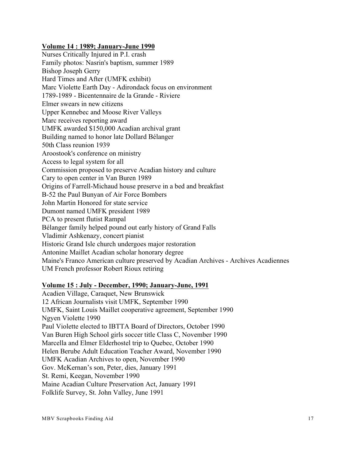## <span id="page-16-0"></span>**Volume 14 : 1989; January-June 1990**

Nurses Critically Injured in P.I. crash Family photos: Nasrin's baptism, summer 1989 Bishop Joseph Gerry Hard Times and After (UMFK exhibit) Marc Violette Earth Day - Adirondack focus on environment 1789-1989 - Bicentennaire de la Grande - Riviere Elmer swears in new citizens Upper Kennebec and Moose River Valleys Marc receives reporting award UMFK awarded \$150,000 Acadian archival grant Building named to honor late Dollard Bélanger 50th Class reunion 1939 Aroostook's conference on ministry Access to legal system for all Commission proposed to preserve Acadian history and culture Cary to open center in Van Buren 1989 Origins of Farrell-Michaud house preserve in a bed and breakfast B-52 the Paul Bunyan of Air Force Bombers John Martin Honored for state service Dumont named UMFK president 1989 PCA to present flutist Rampal Bélanger family helped pound out early history of Grand Falls Vladimir Ashkenazy, concert pianist Historic Grand Isle church undergoes major restoration Antonine Maillet Acadian scholar honorary degree Maine's Franco American culture preserved by Acadian Archives - Archives Acadiennes UM French professor Robert Rioux retiring

## <span id="page-16-1"></span>**Volume 15 : July - December, 1990; January-June, 1991**

Acadien Village, Caraquet, New Brunswick 12 African Journalists visit UMFK, September 1990 UMFK, Saint Louis Maillet cooperative agreement, September 1990 Ngyen Violette 1990 Paul Violette elected to IBTTA Board of Directors, October 1990 Van Buren High School girls soccer title Class C, November 1990 Marcella and Elmer Elderhostel trip to Quebec, October 1990 Helen Berube Adult Education Teacher Award, November 1990 UMFK Acadian Archives to open, November 1990 Gov. McKernan's son, Peter, dies, January 1991 St. Remi, Keegan, November 1990 Maine Acadian Culture Preservation Act, January 1991 Folklife Survey, St. John Valley, June 1991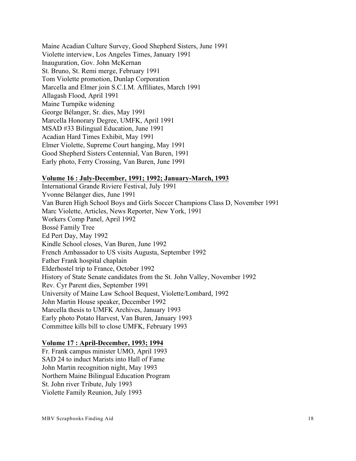Maine Acadian Culture Survey, Good Shepherd Sisters, June 1991 Violette interview, Los Angeles Times, January 1991 Inauguration, Gov. John McKernan St. Bruno, St. Remi merge, February 1991 Tom Violette promotion, Dunlap Corporation Marcella and Elmer join S.C.I.M. Affiliates, March 1991 Allagash Flood, April 1991 Maine Turnpike widening George Bélanger, Sr. dies, May 1991 Marcella Honorary Degree, UMFK, April 1991 MSAD #33 Bilingual Education, June 1991 Acadian Hard Times Exhibit, May 1991 Elmer Violette, Supreme Court hanging, May 1991 Good Shepherd Sisters Centennial, Van Buren, 1991 Early photo, Ferry Crossing, Van Buren, June 1991

#### <span id="page-17-0"></span>**Volume 16 : July-December, 1991; 1992; January-March, 1993**

International Grande Riviere Festival, July 1991 Yvonne Bélanger dies, June 1991 Van Buren High School Boys and Girls Soccer Champions Class D, November 1991 Marc Violette, Articles, News Reporter, New York, 1991 Workers Comp Panel, April 1992 Bossé Family Tree Ed Pert Day, May 1992 Kindle School closes, Van Buren, June 1992 French Ambassador to US visits Augusta, September 1992 Father Frank hospital chaplain Elderhostel trip to France, October 1992 History of State Senate candidates from the St. John Valley, November 1992 Rev. Cyr Parent dies, September 1991 University of Maine Law School Bequest, Violette/Lombard, 1992 John Martin House speaker, December 1992 Marcella thesis to UMFK Archives, January 1993 Early photo Potato Harvest, Van Buren, January 1993 Committee kills bill to close UMFK, February 1993

## <span id="page-17-1"></span>**Volume 17 : April-December, 1993; 1994**

Fr. Frank campus minister UMO, April 1993 SAD 24 to induct Marists into Hall of Fame John Martin recognition night, May 1993 Northern Maine Bilingual Education Program St. John river Tribute, July 1993 Violette Family Reunion, July 1993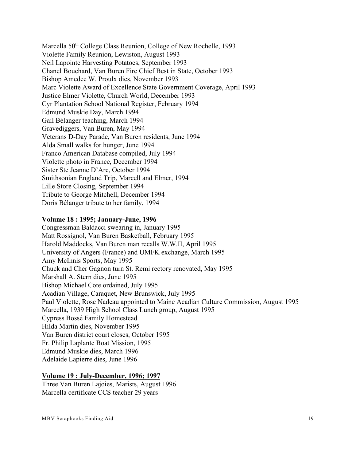Marcella 50<sup>th</sup> College Class Reunion, College of New Rochelle, 1993 Violette Family Reunion, Lewiston, August 1993 Neil Lapointe Harvesting Potatoes, September 1993 Chanel Bouchard, Van Buren Fire Chief Best in State, October 1993 Bishop Amedee W. Proulx dies, November 1993 Marc Violette Award of Excellence State Government Coverage, April 1993 Justice Elmer Violette, Church World, December 1993 Cyr Plantation School National Register, February 1994 Edmund Muskie Day, March 1994 Gail Bélanger teaching, March 1994 Gravediggers, Van Buren, May 1994 Veterans D-Day Parade, Van Buren residents, June 1994 Alda Small walks for hunger, June 1994 Franco American Database compiled, July 1994 Violette photo in France, December 1994 Sister Ste Jeanne D'Arc, October 1994 Smithsonian England Trip, Marcell and Elmer, 1994 Lille Store Closing, September 1994 Tribute to George Mitchell, December 1994 Doris Bélanger tribute to her family, 1994

#### <span id="page-18-0"></span>**Volume 18 : 1995; January-June, 1996**

Congressman Baldacci swearing in, January 1995 Matt Rossignol, Van Buren Basketball, February 1995 Harold Maddocks, Van Buren man recalls W.W.II, April 1995 University of Angers (France) and UMFK exchange, March 1995 Amy McInnis Sports, May 1995 Chuck and Cher Gagnon turn St. Remi rectory renovated, May 1995 Marshall A. Stern dies, June 1995 Bishop Michael Cote ordained, July 1995 Acadian Village, Caraquet, New Brunswick, July 1995 Paul Violette, Rose Nadeau appointed to Maine Acadian Culture Commission, August 1995 Marcella, 1939 High School Class Lunch group, August 1995 Cypress Bossé Family Homestead Hilda Martin dies, November 1995 Van Buren district court closes, October 1995 Fr. Philip Laplante Boat Mission, 1995 Edmund Muskie dies, March 1996 Adelaide Lapierre dies, June 1996

## <span id="page-18-1"></span>**Volume 19 : July-December, 1996; 1997**

Three Van Buren Lajoies, Marists, August 1996 Marcella certificate CCS teacher 29 years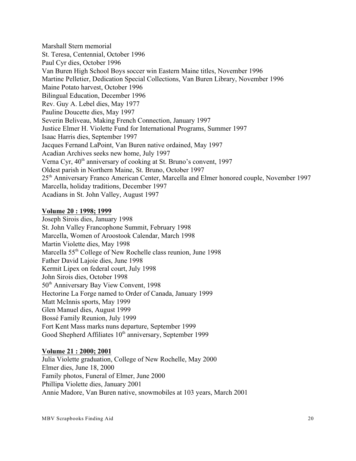Marshall Stern memorial St. Teresa, Centennial, October 1996 Paul Cyr dies, October 1996 Van Buren High School Boys soccer win Eastern Maine titles, November 1996 Martine Pelletier, Dedication Special Collections, Van Buren Library, November 1996 Maine Potato harvest, October 1996 Bilingual Education, December 1996 Rev. Guy A. Lebel dies, May 1977 Pauline Doucette dies, May 1997 Severin Beliveau, Making French Connection, January 1997 Justice Elmer H. Violette Fund for International Programs, Summer 1997 Isaac Harris dies, September 1997 Jacques Fernand LaPoint, Van Buren native ordained, May 1997 Acadian Archives seeks new home, July 1997 Verna Cyr,  $40<sup>th</sup>$  anniversary of cooking at St. Bruno's convent, 1997 Oldest parish in Northern Maine, St. Bruno, October 1997 25<sup>th</sup> Anniversary Franco American Center, Marcella and Elmer honored couple, November 1997 Marcella, holiday traditions, December 1997 Acadians in St. John Valley, August 1997

## <span id="page-19-0"></span>**Volume 20 : 1998; 1999**

Joseph Sirois dies, January 1998 St. John Valley Francophone Summit, February 1998 Marcella, Women of Aroostook Calendar, March 1998 Martin Violette dies, May 1998 Marcella 55<sup>th</sup> College of New Rochelle class reunion, June 1998 Father David Lajoie dies, June 1998 Kermit Lipex on federal court, July 1998 John Sirois dies, October 1998 50<sup>th</sup> Anniversary Bay View Convent, 1998 Hectorine La Forge named to Order of Canada, January 1999 Matt McInnis sports, May 1999 Glen Manuel dies, August 1999 Bossé Family Reunion, July 1999 Fort Kent Mass marks nuns departure, September 1999 Good Shepherd Affiliates  $10<sup>th</sup>$  anniversary, September 1999

## <span id="page-19-1"></span>**Volume 21 : 2000; 2001**

Julia Violette graduation, College of New Rochelle, May 2000 Elmer dies, June 18, 2000 Family photos, Funeral of Elmer, June 2000 Phillipa Violette dies, January 2001 Annie Madore, Van Buren native, snowmobiles at 103 years, March 2001